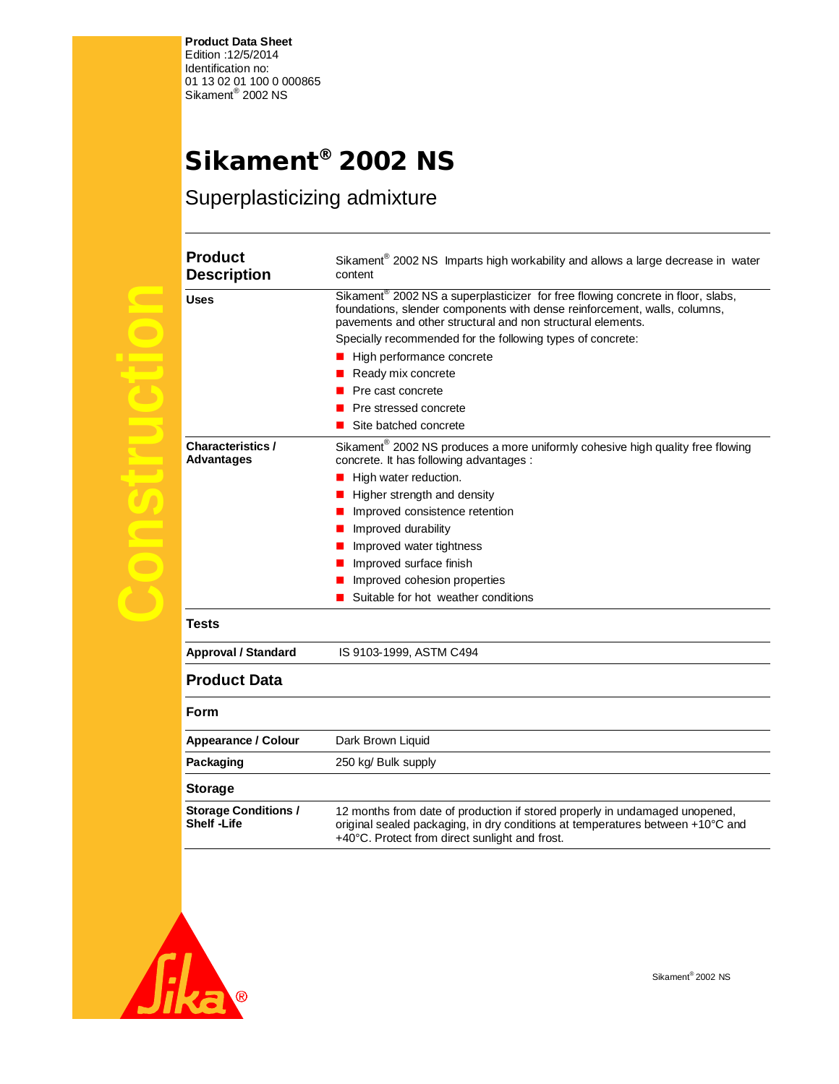**Product Data Sheet**  Edition :12/5/2014 Identification no: 01 13 02 01 100 0 000865<br>Sikament<sup>®</sup> 2002 NS

**Product** 

## **Sikament® 2002 NS**

Superplasticizing admixture

|        | ۲۱<br>ŗ<br>D |
|--------|--------------|
|        | Us           |
|        |              |
|        |              |
| J<br>t |              |
|        |              |
| I      | Ch<br>Ad     |
|        |              |
|        |              |
|        |              |
|        |              |
| f      |              |
|        | Te           |
|        | Ap           |
|        | Pr           |
|        | Fo           |
|        | Ap           |
|        | Pa           |
|        | Sto          |
|        | Sto<br>Sh    |

| <b>Description</b>                            | content                                                                                                                                                                                                                                 |
|-----------------------------------------------|-----------------------------------------------------------------------------------------------------------------------------------------------------------------------------------------------------------------------------------------|
| <b>Uses</b>                                   | Sikament <sup>®</sup> 2002 NS a superplasticizer for free flowing concrete in floor, slabs,<br>foundations, slender components with dense reinforcement, walls, columns,<br>pavements and other structural and non structural elements. |
|                                               | Specially recommended for the following types of concrete:                                                                                                                                                                              |
|                                               | High performance concrete                                                                                                                                                                                                               |
|                                               | Ready mix concrete                                                                                                                                                                                                                      |
|                                               | Pre cast concrete                                                                                                                                                                                                                       |
|                                               | Pre stressed concrete                                                                                                                                                                                                                   |
|                                               | Site batched concrete                                                                                                                                                                                                                   |
| <b>Characteristics /</b><br><b>Advantages</b> | Sikament <sup>®</sup> 2002 NS produces a more uniformly cohesive high quality free flowing<br>concrete. It has following advantages :                                                                                                   |
|                                               | High water reduction.                                                                                                                                                                                                                   |
|                                               | Higher strength and density                                                                                                                                                                                                             |
|                                               | Improved consistence retention                                                                                                                                                                                                          |
|                                               | Improved durability                                                                                                                                                                                                                     |
|                                               | Improved water tightness                                                                                                                                                                                                                |
|                                               | Improved surface finish                                                                                                                                                                                                                 |
|                                               | Improved cohesion properties                                                                                                                                                                                                            |
|                                               | Suitable for hot weather conditions                                                                                                                                                                                                     |
| <b>Tests</b>                                  |                                                                                                                                                                                                                                         |
| <b>Approval / Standard</b>                    | IS 9103-1999, ASTM C494                                                                                                                                                                                                                 |
| <b>Product Data</b>                           |                                                                                                                                                                                                                                         |
| Form                                          |                                                                                                                                                                                                                                         |
| Appearance / Colour                           | Dark Brown Liquid                                                                                                                                                                                                                       |
| Packaging                                     | 250 kg/ Bulk supply                                                                                                                                                                                                                     |
| <b>Storage</b>                                |                                                                                                                                                                                                                                         |
| <b>Storage Conditions /</b>                   | 12 months from date of production if stored properly in undamaged unopened,                                                                                                                                                             |

+40°C. Protect from direct sunlight and frost.

original sealed packaging, in dry conditions at temperatures between +10°C and

Sikament $^{\circ}$  2002 NS Imparts high workability and allows a large decrease in water



**Shelf -Life**

Sikament® 2002 NS